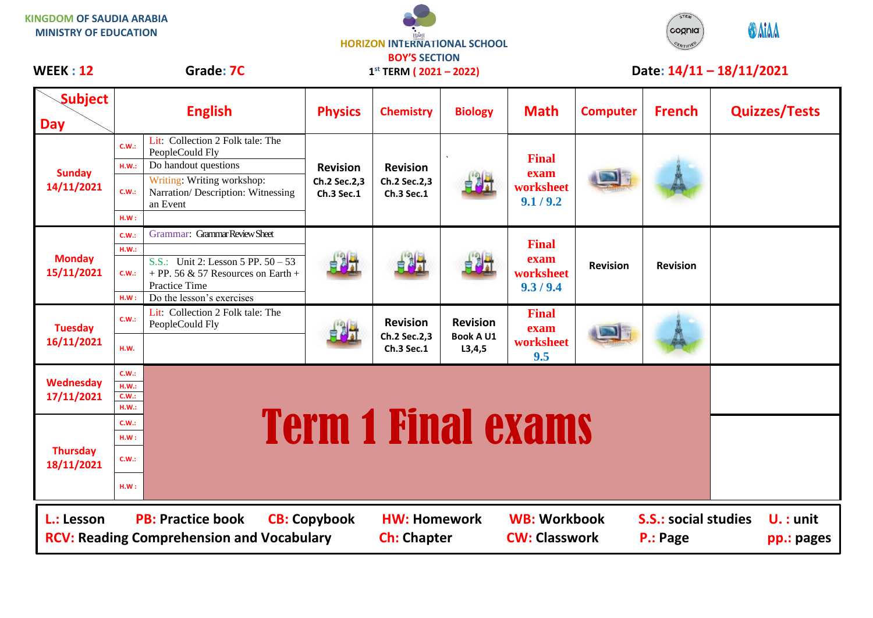| KINGDOM OF SAUDIA ARABIA     |
|------------------------------|
| <b>MINISTRY OF EDUCATION</b> |

## **HORIZON INTERNATIONAL SCHOOL BOY'S SECTION 1 st TERM ( 2021 – 2022)**



WEEK : 12 Grade: 7C 1<sup>st</sup> TERM ( 2021 – 2022) Date: 14/11 – 18/11/2021

| <b>Subject</b><br><b>Day</b>                                                                                                                                                                                                                                                          |                                       | <b>English</b>                                                                                                                                             | <b>Physics</b>                                       | <b>Chemistry</b>                              | <b>Biology</b>                                  | <b>Math</b>                                    | <b>Computer</b> | <b>French</b>   | <b>Quizzes/Tests</b> |
|---------------------------------------------------------------------------------------------------------------------------------------------------------------------------------------------------------------------------------------------------------------------------------------|---------------------------------------|------------------------------------------------------------------------------------------------------------------------------------------------------------|------------------------------------------------------|-----------------------------------------------|-------------------------------------------------|------------------------------------------------|-----------------|-----------------|----------------------|
| <b>Sunday</b><br>14/11/2021                                                                                                                                                                                                                                                           | <b>C.W.:</b><br>H.W.:<br>C.W.:<br>HM: | Lit: Collection 2 Folk tale: The<br>PeopleCould Fly<br>Do handout questions<br>Writing: Writing workshop:<br>Narration/Description: Witnessing<br>an Event | <b>Revision</b><br>Ch.2 Sec.2,3<br><b>Ch.3 Sec.1</b> | <b>Revision</b><br>Ch.2 Sec.2,3<br>Ch.3 Sec.1 |                                                 | <b>Final</b><br>exam<br>worksheet<br>9.1 / 9.2 |                 |                 |                      |
| <b>Monday</b><br>15/11/2021                                                                                                                                                                                                                                                           | C.W.:<br>H.W.:<br>C.W.:<br>HM:        | Grammar: Grammar Review Sheet<br>S.S.: Unit 2: Lesson 5 PP. $50 - 53$<br>+ PP. 56 & 57 Resources on Earth +<br>Practice Time<br>Do the lesson's exercises  |                                                      | 自利社                                           |                                                 | <b>Final</b><br>exam<br>worksheet<br>9.3 / 9.4 | <b>Revision</b> | <b>Revision</b> |                      |
| <b>Tuesday</b><br>16/11/2021                                                                                                                                                                                                                                                          | C.W.:<br>H.W.                         | Lit: Collection 2 Folk tale: The<br>PeopleCould Fly                                                                                                        |                                                      | <b>Revision</b><br>Ch.2 Sec.2,3<br>Ch.3 Sec.1 | <b>Revision</b><br><b>Book A U1</b><br>L3, 4, 5 | <b>Final</b><br>exam<br>worksheet<br>9.5       |                 |                 |                      |
| <b>Wednesday</b><br>17/11/2021                                                                                                                                                                                                                                                        | C.W.:<br>HM.:<br>C.W.:<br>HM.:        |                                                                                                                                                            |                                                      |                                               |                                                 |                                                |                 |                 |                      |
| <b>Thursday</b><br>18/11/2021                                                                                                                                                                                                                                                         | C.W.:<br>HM:<br>C.W.:<br>HM:          |                                                                                                                                                            |                                                      | <b>Term 1 Final exams</b>                     |                                                 |                                                |                 |                 |                      |
| <b>WB: Workbook</b><br><b>PB: Practice book</b><br><b>S.S.: social studies</b><br>L.: Lesson<br><b>CB: Copybook</b><br><b>HW: Homework</b><br>$U.$ : unit<br><b>RCV: Reading Comprehension and Vocabulary</b><br><b>Ch: Chapter</b><br><b>CW: Classwork</b><br>P.: Page<br>pp.: pages |                                       |                                                                                                                                                            |                                                      |                                               |                                                 |                                                |                 |                 |                      |